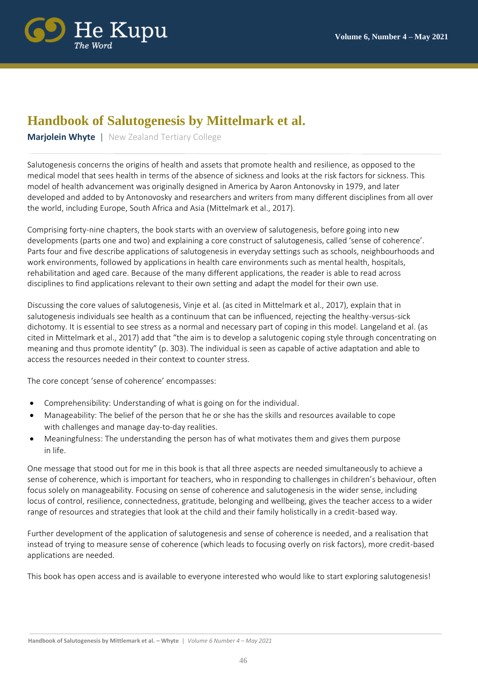

## **Handbook of Salutogenesis by Mittelmark et al.**

**Mariolein Whyte** | New Zealand Tertiary College

Salutogenesis concerns the origins of health and assets that promote health and resilience, as opposed to the medical model that sees health in terms of the absence of sickness and looks at the risk factors for sickness. This model of health advancement was originally designed in America by Aaron Antonovsky in 1979, and later developed and added to by Antonovosky and researchers and writers from many different disciplines from all over the world, including Europe, South Africa and Asia (Mittelmark et al., 2017).

Comprising forty-nine chapters, the book starts with an overview of salutogenesis, before going into new developments (parts one and two) and explaining a core construct of salutogenesis, called 'sense of coherence'. Parts four and five describe applications of salutogenesis in everyday settings such as schools, neighbourhoods and work environments, followed by applications in health care environments such as mental health, hospitals, rehabilitation and aged care. Because of the many different applications, the reader is able to read across disciplines to find applications relevant to their own setting and adapt the model for their own use.

Discussing the core values of salutogenesis, Vinje et al. (as cited in Mittelmark et al., 2017), explain that in salutogenesis individuals see health as a continuum that can be influenced, rejecting the healthy-versus-sick dichotomy. It is essential to see stress as a normal and necessary part of coping in this model. Langeland et al. (as cited in Mittelmark et al., 2017) add that "the aim is to develop a salutogenic coping style through concentrating on meaning and thus promote identity" (p. 303). The individual is seen as capable of active adaptation and able to access the resources needed in their context to counter stress.

The core concept 'sense of coherence' encompasses:

- Comprehensibility: Understanding of what is going on for the individual.
- Manageability: The belief of the person that he or she has the skills and resources available to cope with challenges and manage day-to-day realities.
- Meaningfulness: The understanding the person has of what motivates them and gives them purpose in life.

One message that stood out for me in this book is that all three aspects are needed simultaneously to achieve a sense of coherence, which is important for teachers, who in responding to challenges in children's behaviour, often focus solely on manageability. Focusing on sense of coherence and salutogenesis in the wider sense, including locus of control, resilience, connectedness, gratitude, belonging and wellbeing, gives the teacher access to a wider range of resources and strategies that look at the child and their family holistically in a credit-based way.

Further development of the application of salutogenesis and sense of coherence is needed, and a realisation that instead of trying to measure sense of coherence (which leads to focusing overly on risk factors), more credit-based applications are needed.

This book has open access and is available to everyone interested who would like to start exploring salutogenesis!